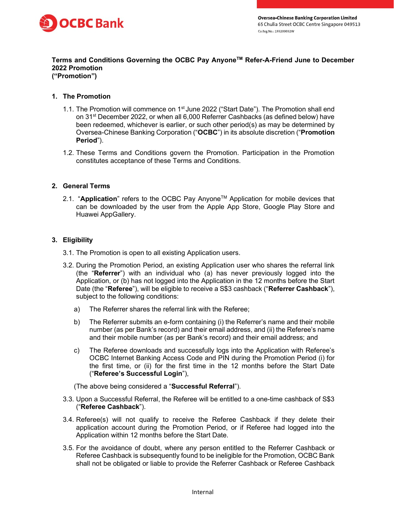

# Terms and Conditions Governing the OCBC Pay Anyone™ Refer-A-Friend June to December 2022 Promotion

("Promotion")

## 1. The Promotion

- 1.1. The Promotion will commence on 1<sup>st</sup> June 2022 ("Start Date"). The Promotion shall end on 31st December 2022, or when all 6,000 Referrer Cashbacks (as defined below) have been redeemed, whichever is earlier, or such other period(s) as may be determined by Oversea-Chinese Banking Corporation ("OCBC") in its absolute discretion ("Promotion Period").
- 1.2. These Terms and Conditions govern the Promotion. Participation in the Promotion constitutes acceptance of these Terms and Conditions.

### 2. General Terms

2.1. "Application" refers to the OCBC Pay Anyone<sup>TM</sup> Application for mobile devices that can be downloaded by the user from the Apple App Store, Google Play Store and Huawei AppGallery.

## 3. Eligibility

- 3.1. The Promotion is open to all existing Application users.
- 3.2. During the Promotion Period, an existing Application user who shares the referral link (the "Referrer") with an individual who (a) has never previously logged into the Application, or (b) has not logged into the Application in the 12 months before the Start Date (the "Referee"), will be eligible to receive a S\$3 cashback ("Referrer Cashback"), subject to the following conditions:
	- a) The Referrer shares the referral link with the Referee;
	- b) The Referrer submits an e-form containing (i) the Referrer's name and their mobile number (as per Bank's record) and their email address, and (ii) the Referee's name and their mobile number (as per Bank's record) and their email address; and
	- c) The Referee downloads and successfully logs into the Application with Referee's OCBC Internet Banking Access Code and PIN during the Promotion Period (i) for the first time, or (ii) for the first time in the 12 months before the Start Date ("Referee's Successful Login"),

(The above being considered a "Successful Referral").

- 3.3. Upon a Successful Referral, the Referee will be entitled to a one-time cashback of S\$3 ("Referee Cashback").
- 3.4. Referee(s) will not qualify to receive the Referee Cashback if they delete their application account during the Promotion Period, or if Referee had logged into the Application within 12 months before the Start Date.
- 3.5. For the avoidance of doubt, where any person entitled to the Referrer Cashback or Referee Cashback is subsequently found to be ineligible for the Promotion, OCBC Bank shall not be obligated or liable to provide the Referrer Cashback or Referee Cashback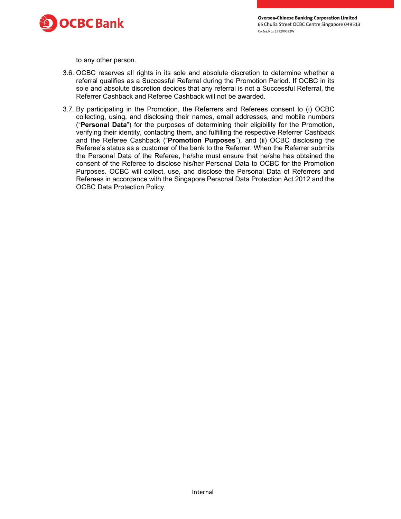

**Oversea-Chinese Banking Corporation Limited** 65 Chulia Street OCBC Centre Singapore 049513 Co.Reg.No.: 193200032W

to any other person.

- 3.6. OCBC reserves all rights in its sole and absolute discretion to determine whether a referral qualifies as a Successful Referral during the Promotion Period. If OCBC in its sole and absolute discretion decides that any referral is not a Successful Referral, the Referrer Cashback and Referee Cashback will not be awarded.
- 3.7. By participating in the Promotion, the Referrers and Referees consent to (i) OCBC collecting, using, and disclosing their names, email addresses, and mobile numbers ("Personal Data") for the purposes of determining their eligibility for the Promotion, verifying their identity, contacting them, and fulfilling the respective Referrer Cashback and the Referee Cashback ("Promotion Purposes"), and (ii) OCBC disclosing the Referee's status as a customer of the bank to the Referrer. When the Referrer submits the Personal Data of the Referee, he/she must ensure that he/she has obtained the consent of the Referee to disclose his/her Personal Data to OCBC for the Promotion Purposes. OCBC will collect, use, and disclose the Personal Data of Referrers and Referees in accordance with the Singapore Personal Data Protection Act 2012 and the OCBC Data Protection Policy.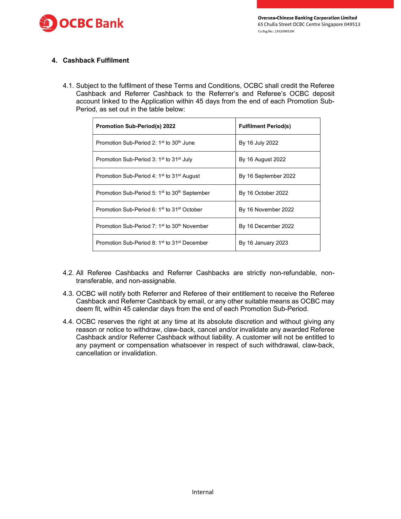

### 4. Cashback Fulfilment

4.1. Subject to the fulfilment of these Terms and Conditions, OCBC shall credit the Referee Cashback and Referrer Cashback to the Referrer's and Referee's OCBC deposit account linked to the Application within 45 days from the end of each Promotion Sub-Period, as set out in the table below:

| <b>Promotion Sub-Period(s) 2022</b>                                   | <b>Fulfilment Period(s)</b> |
|-----------------------------------------------------------------------|-----------------------------|
| Promotion Sub-Period 2: 1 <sup>st</sup> to 30 <sup>th</sup> June      | By 16 July 2022             |
| Promotion Sub-Period 3: 1 <sup>st</sup> to 31 <sup>st</sup> July      | By 16 August 2022           |
| Promotion Sub-Period 4: 1 <sup>st</sup> to 31 <sup>st</sup> August    | By 16 September 2022        |
| Promotion Sub-Period 5: 1 <sup>st</sup> to 30 <sup>th</sup> September | By 16 October 2022          |
| Promotion Sub-Period 6: 1 <sup>st</sup> to 31 <sup>st</sup> October   | By 16 November 2022         |
| Promotion Sub-Period $7:1st$ to $30th$ November                       | By 16 December 2022         |
| Promotion Sub-Period 8: 1 <sup>st</sup> to 31 <sup>st</sup> December  | By 16 January 2023          |

- 4.2. All Referee Cashbacks and Referrer Cashbacks are strictly non-refundable, nontransferable, and non-assignable.
- 4.3. OCBC will notify both Referrer and Referee of their entitlement to receive the Referee Cashback and Referrer Cashback by email, or any other suitable means as OCBC may deem fit, within 45 calendar days from the end of each Promotion Sub-Period.
- 4.4. OCBC reserves the right at any time at its absolute discretion and without giving any reason or notice to withdraw, claw-back, cancel and/or invalidate any awarded Referee Cashback and/or Referrer Cashback without liability. A customer will not be entitled to any payment or compensation whatsoever in respect of such withdrawal, claw-back, cancellation or invalidation.